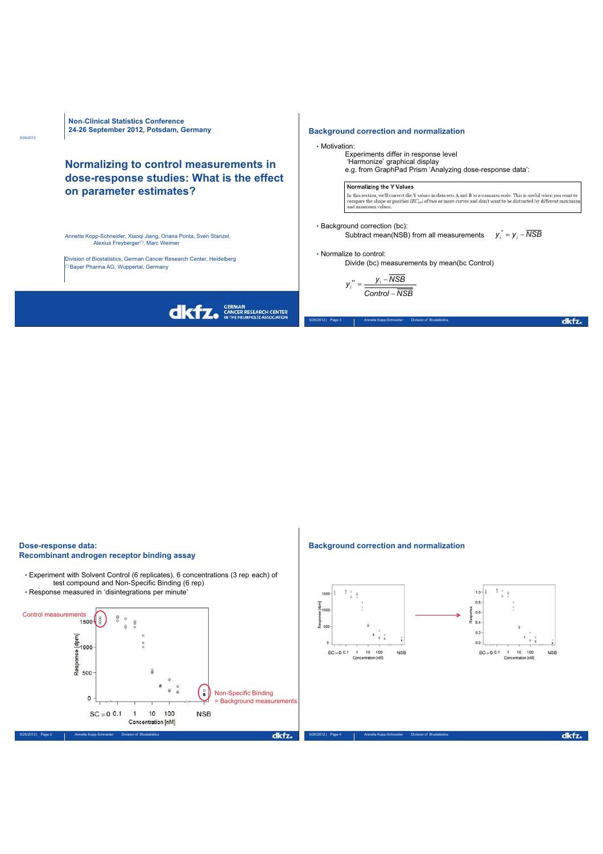

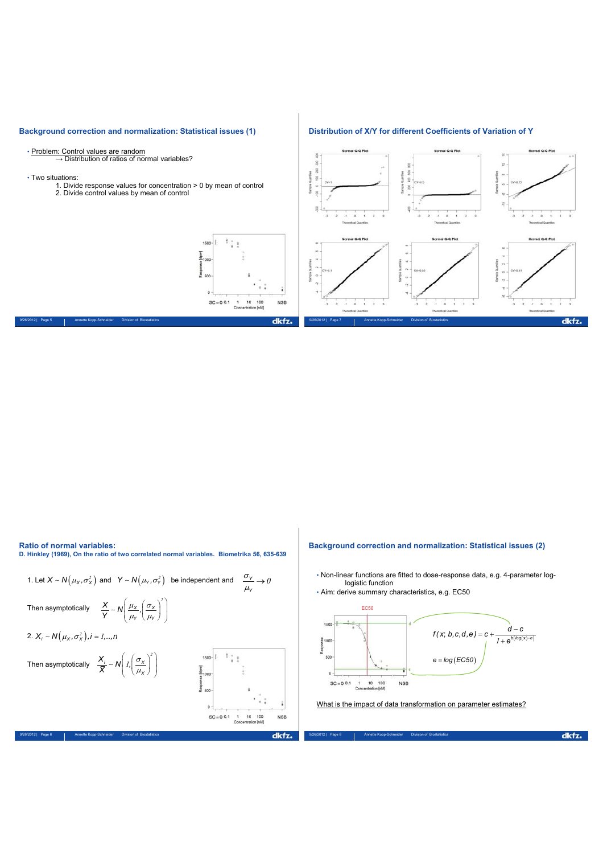

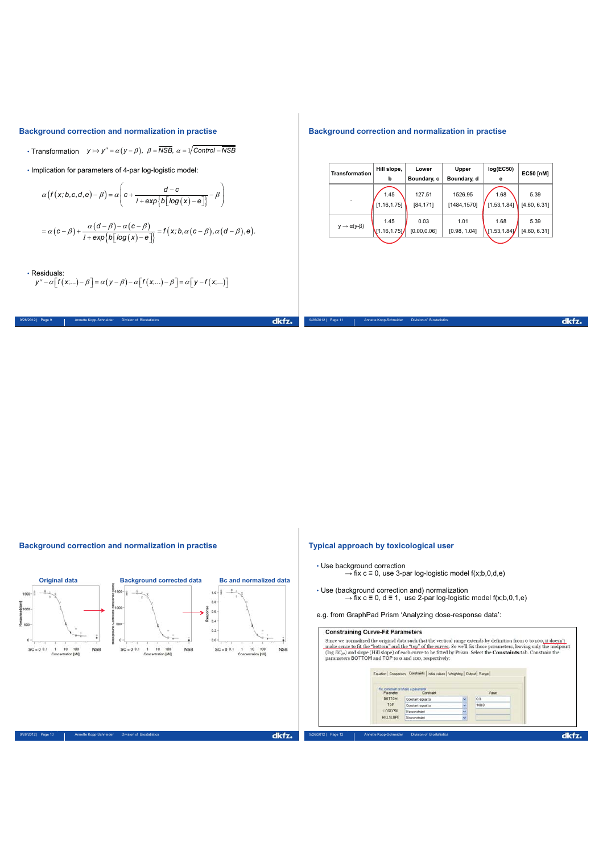